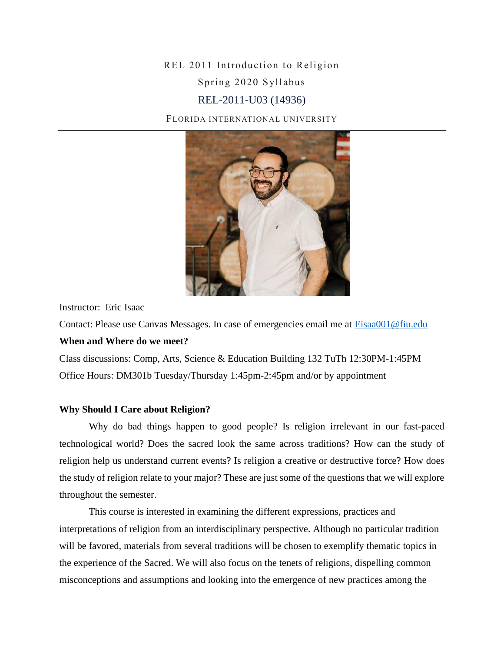# REL 2011 Introduction to Religion Spring 2020 Syllabus REL-2011-U03 (14936)

FLORIDA INTERNATIONAL UNIVERSITY



Instructor: Eric Isaac

Contact: Please use Canvas Messages. In case of emergencies email me at **Eisaa001@fiu.edu When and Where do we meet?** 

Class discussions: Comp, Arts, Science & Education Building 132 TuTh 12:30PM-1:45PM Office Hours: DM301b Tuesday/Thursday 1:45pm-2:45pm and/or by appointment

### **Why Should I Care about Religion?**

Why do bad things happen to good people? Is religion irrelevant in our fast-paced technological world? Does the sacred look the same across traditions? How can the study of religion help us understand current events? Is religion a creative or destructive force? How does the study of religion relate to your major? These are just some of the questions that we will explore throughout the semester.

This course is interested in examining the different expressions, practices and interpretations of religion from an interdisciplinary perspective. Although no particular tradition will be favored, materials from several traditions will be chosen to exemplify thematic topics in the experience of the Sacred. We will also focus on the tenets of religions, dispelling common misconceptions and assumptions and looking into the emergence of new practices among the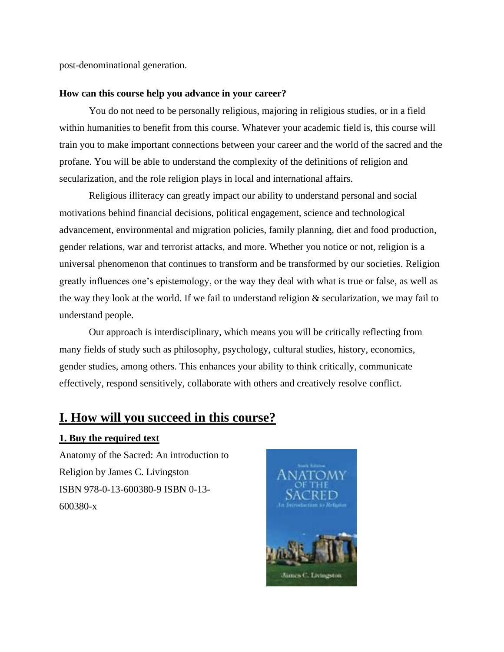post-denominational generation.

#### **How can this course help you advance in your career?**

You do not need to be personally religious, majoring in religious studies, or in a field within humanities to benefit from this course. Whatever your academic field is, this course will train you to make important connections between your career and the world of the sacred and the profane. You will be able to understand the complexity of the definitions of religion and secularization, and the role religion plays in local and international affairs.

Religious illiteracy can greatly impact our ability to understand personal and social motivations behind financial decisions, political engagement, science and technological advancement, environmental and migration policies, family planning, diet and food production, gender relations, war and terrorist attacks, and more. Whether you notice or not, religion is a universal phenomenon that continues to transform and be transformed by our societies. Religion greatly influences one's epistemology, or the way they deal with what is true or false, as well as the way they look at the world. If we fail to understand religion & secularization, we may fail to understand people.

Our approach is interdisciplinary, which means you will be critically reflecting from many fields of study such as philosophy, psychology, cultural studies, history, economics, gender studies, among others. This enhances your ability to think critically, communicate effectively, respond sensitively, collaborate with others and creatively resolve conflict.

## **I. How will you succeed in this course?**

#### **1. Buy the required text**

Anatomy of the Sacred: An introduction to Religion by James C. Livingston ISBN 978-0-13-600380-9 ISBN 0-13- 600380-x

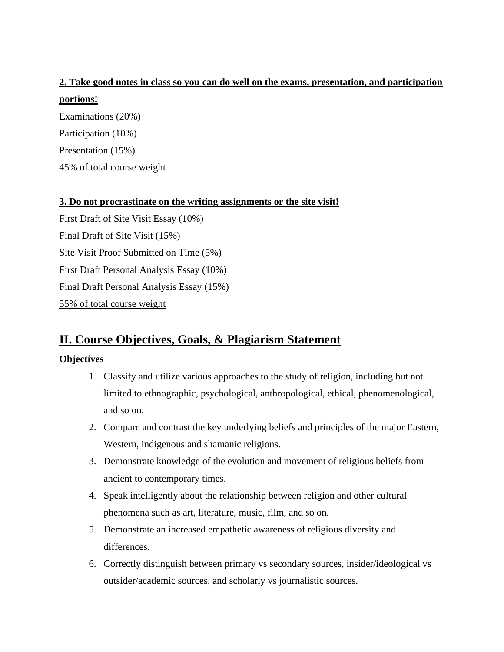# **2. Take good notes in class so you can do well on the exams, presentation, and participation portions!** Examinations (20%)

Participation (10%) Presentation (15%)

45% of total course weight

### **3. Do not procrastinate on the writing assignments or the site visit!**

First Draft of Site Visit Essay (10%) Final Draft of Site Visit (15%) Site Visit Proof Submitted on Time (5%) First Draft Personal Analysis Essay (10%) Final Draft Personal Analysis Essay (15%) 55% of total course weight

# **II. Course Objectives, Goals, & Plagiarism Statement**

### **Objectives**

- 1. Classify and utilize various approaches to the study of religion, including but not limited to ethnographic, psychological, anthropological, ethical, phenomenological, and so on.
- 2. Compare and contrast the key underlying beliefs and principles of the major Eastern, Western, indigenous and shamanic religions.
- 3. Demonstrate knowledge of the evolution and movement of religious beliefs from ancient to contemporary times.
- 4. Speak intelligently about the relationship between religion and other cultural phenomena such as art, literature, music, film, and so on.
- 5. Demonstrate an increased empathetic awareness of religious diversity and differences.
- 6. Correctly distinguish between primary vs secondary sources, insider/ideological vs outsider/academic sources, and scholarly vs journalistic sources.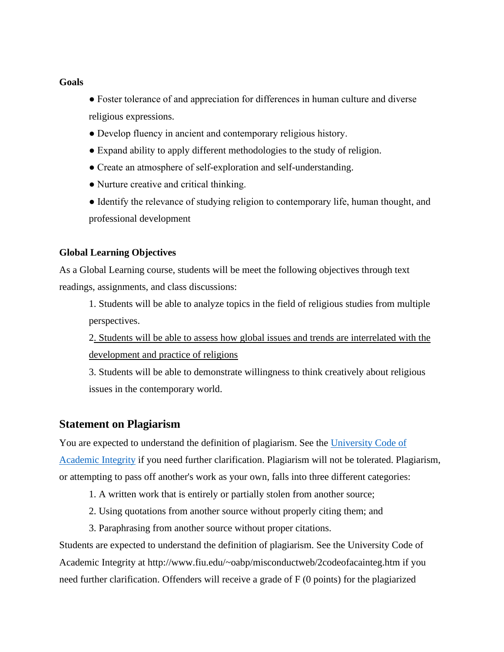#### **Goals**

- Foster tolerance of and appreciation for differences in human culture and diverse religious expressions.
- Develop fluency in ancient and contemporary religious history.
- Expand ability to apply different methodologies to the study of religion.
- Create an atmosphere of self-exploration and self-understanding.
- Nurture creative and critical thinking.
- Identify the relevance of studying religion to contemporary life, human thought, and professional development

### **Global Learning Objectives**

As a Global Learning course, students will be meet the following objectives through text readings, assignments, and class discussions:

1. Students will be able to analyze topics in the field of religious studies from multiple perspectives.

2. Students will be able to assess how global issues and trends are interrelated with the development and practice of religions

3. Students will be able to demonstrate willingness to think creatively about religious issues in the contemporary world.

### **Statement on Plagiarism**

You are expected to understand the definition of plagiarism. See the [University Code of](http://www.fiu.edu/~oabp/misconductweb/2codeofacainteg.htm) 

[Academic Integrity](http://www.fiu.edu/~oabp/misconductweb/2codeofacainteg.htm) if you need further clarification. Plagiarism will not be tolerated. Plagiarism, or attempting to pass off another's work as your own, falls into three different categories:

- 1. A written work that is entirely or partially stolen from another source;
- 2. Using quotations from another source without properly citing them; and
- 3. Paraphrasing from another source without proper citations.

Students are expected to understand the definition of plagiarism. See the University Code of Academic Integrity at http://www.fiu.edu/~oabp/misconductweb/2codeofacainteg.htm if you need further clarification. Offenders will receive a grade of F (0 points) for the plagiarized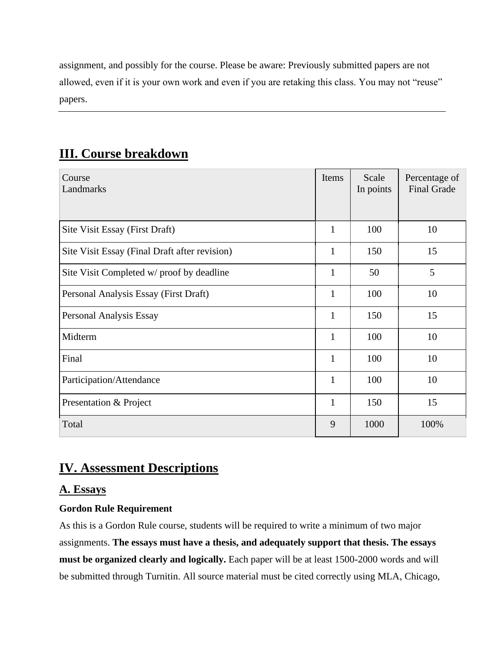assignment, and possibly for the course. Please be aware: Previously submitted papers are not allowed, even if it is your own work and even if you are retaking this class. You may not "reuse" papers.

# **III. Course breakdown**

| Course<br>Landmarks                           | Items        | Scale<br>In points | Percentage of<br><b>Final Grade</b> |
|-----------------------------------------------|--------------|--------------------|-------------------------------------|
|                                               |              |                    |                                     |
| Site Visit Essay (First Draft)                | $\mathbf{1}$ | 100                | 10                                  |
| Site Visit Essay (Final Draft after revision) | $\mathbf{1}$ | 150                | 15                                  |
| Site Visit Completed w/ proof by deadline     | $\mathbf{1}$ | 50                 | 5                                   |
| Personal Analysis Essay (First Draft)         | $\mathbf{1}$ | 100                | 10                                  |
| Personal Analysis Essay                       | 1            | 150                | 15                                  |
| Midterm                                       | 1            | 100                | 10                                  |
| Final                                         | $\mathbf{1}$ | 100                | 10                                  |
| Participation/Attendance                      | $\mathbf{1}$ | 100                | 10                                  |
| Presentation & Project                        | 1            | 150                | 15                                  |
| Total                                         | 9            | 1000               | 100%                                |

# **IV. Assessment Descriptions**

## **A. Essays**

## **Gordon Rule Requirement**

As this is a Gordon Rule course, students will be required to write a minimum of two major assignments. **The essays must have a thesis, and adequately support that thesis. The essays must be organized clearly and logically.** Each paper will be at least 1500-2000 words and will be submitted through Turnitin. All source material must be cited correctly using MLA, Chicago,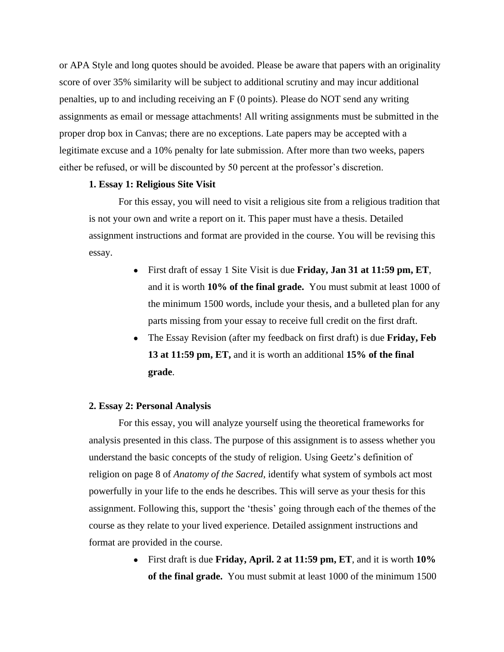or APA Style and long quotes should be avoided. Please be aware that papers with an originality score of over 35% similarity will be subject to additional scrutiny and may incur additional penalties, up to and including receiving an F (0 points). Please do NOT send any writing assignments as email or message attachments! All writing assignments must be submitted in the proper drop box in Canvas; there are no exceptions. Late papers may be accepted with a legitimate excuse and a 10% penalty for late submission. After more than two weeks, papers either be refused, or will be discounted by 50 percent at the professor's discretion.

#### **1. Essay 1: Religious Site Visit**

For this essay, you will need to visit a religious site from a religious tradition that is not your own and write a report on it. This paper must have a thesis. Detailed assignment instructions and format are provided in the course. You will be revising this essay.

- First draft of essay 1 Site Visit is due **Friday, Jan 31 at 11:59 pm, ET**, and it is worth **10% of the final grade.** You must submit at least 1000 of the minimum 1500 words, include your thesis, and a bulleted plan for any parts missing from your essay to receive full credit on the first draft.
- The Essay Revision (after my feedback on first draft) is due **Friday**, Feb **13 at 11:59 pm, ET,** and it is worth an additional **15% of the final grade**.

#### **2. Essay 2: Personal Analysis**

For this essay, you will analyze yourself using the theoretical frameworks for analysis presented in this class. The purpose of this assignment is to assess whether you understand the basic concepts of the study of religion. Using Geetz's definition of religion on page 8 of *Anatomy of the Sacred*, identify what system of symbols act most powerfully in your life to the ends he describes. This will serve as your thesis for this assignment. Following this, support the 'thesis' going through each of the themes of the course as they relate to your lived experience. Detailed assignment instructions and format are provided in the course.

> ● First draft is due **Friday, April. 2 at 11:59 pm, ET**, and it is worth **10% of the final grade.** You must submit at least 1000 of the minimum 1500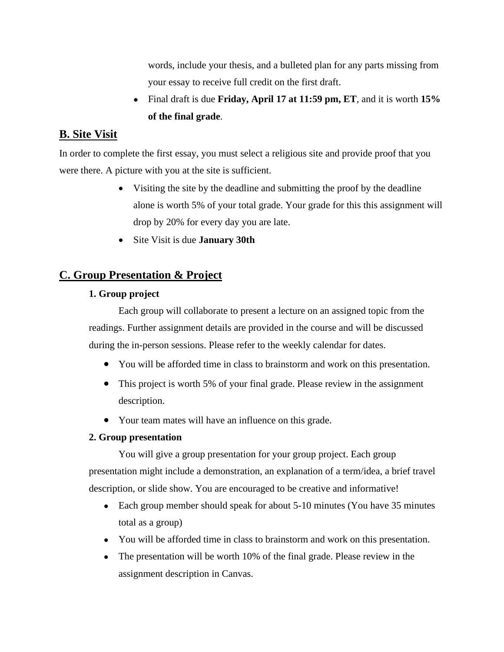words, include your thesis, and a bulleted plan for any parts missing from your essay to receive full credit on the first draft.

● Final draft is due **Friday, April 17 at 11:59 pm, ET**, and it is worth **15% of the final grade**.

## **B. Site Visit**

In order to complete the first essay, you must select a religious site and provide proof that you were there. A picture with you at the site is sufficient.

- Visiting the site by the deadline and submitting the proof by the deadline alone is worth 5% of your total grade. Your grade for this this assignment will drop by 20% for every day you are late.
- Site Visit is due **January 30th**

## **C. Group Presentation & Project**

### **1. Group project**

Each group will collaborate to present a lecture on an assigned topic from the readings. Further assignment details are provided in the course and will be discussed during the in-person sessions. Please refer to the weekly calendar for dates.

- You will be afforded time in class to brainstorm and work on this presentation.
- This project is worth 5% of your final grade. Please review in the assignment description.
- Your team mates will have an influence on this grade.

### **2. Group presentation**

You will give a group presentation for your group project. Each group presentation might include a demonstration, an explanation of a term/idea, a brief travel description, or slide show. You are encouraged to be creative and informative!

- Each group member should speak for about 5-10 minutes (You have 35 minutes) total as a group)
- You will be afforded time in class to brainstorm and work on this presentation.
- The presentation will be worth 10% of the final grade. Please review in the assignment description in Canvas.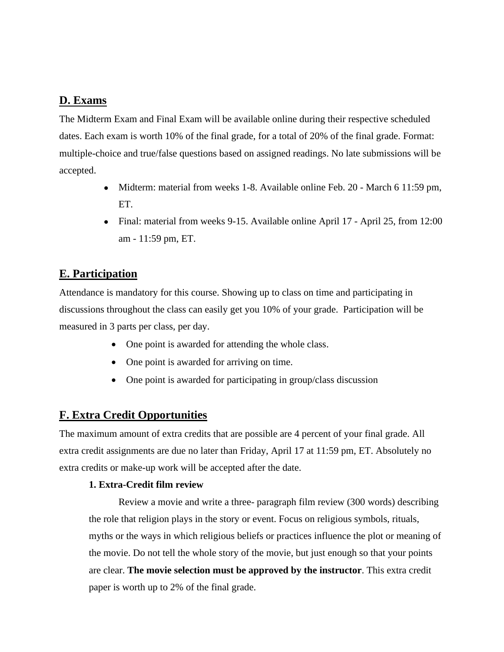### **D. Exams**

The Midterm Exam and Final Exam will be available online during their respective scheduled dates. Each exam is worth 10% of the final grade, for a total of 20% of the final grade. Format: multiple-choice and true/false questions based on assigned readings. No late submissions will be accepted.

- Midterm: material from weeks 1-8. Available online Feb. 20 March 6 11:59 pm, ET.
- Final: material from weeks 9-15. Available online April 17 April 25, from 12:00 am - 11:59 pm, ET.

## **E. Participation**

Attendance is mandatory for this course. Showing up to class on time and participating in discussions throughout the class can easily get you 10% of your grade. Participation will be measured in 3 parts per class, per day.

- One point is awarded for attending the whole class.
- One point is awarded for arriving on time.
- One point is awarded for participating in group/class discussion

## **F. Extra Credit Opportunities**

The maximum amount of extra credits that are possible are 4 percent of your final grade. All extra credit assignments are due no later than Friday, April 17 at 11:59 pm, ET. Absolutely no extra credits or make-up work will be accepted after the date.

### **1. Extra-Credit film review**

Review a movie and write a three- paragraph film review (300 words) describing the role that religion plays in the story or event. Focus on religious symbols, rituals, myths or the ways in which religious beliefs or practices influence the plot or meaning of the movie. Do not tell the whole story of the movie, but just enough so that your points are clear. **The movie selection must be approved by the instructor**. This extra credit paper is worth up to 2% of the final grade.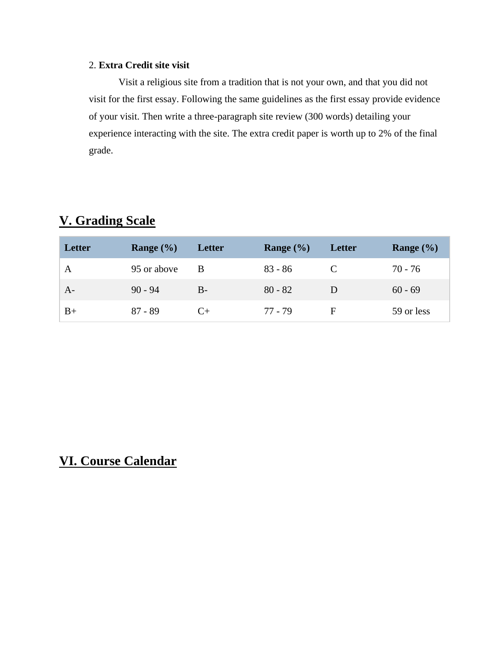### 2. **Extra Credit site visit**

Visit a religious site from a tradition that is not your own, and that you did not visit for the first essay. Following the same guidelines as the first essay provide evidence of your visit. Then write a three-paragraph site review (300 words) detailing your experience interacting with the site. The extra credit paper is worth up to 2% of the final grade.

# **V. Grading Scale**

| Letter | Range $(\% )$ | Letter | Range $(\% )$ | Letter | Range $(\% )$ |
|--------|---------------|--------|---------------|--------|---------------|
| A      | 95 or above   | -B     | $83 - 86$     |        | 70 - 76       |
| $A-$   | $90 - 94$     | $B-$   | $80 - 82$     |        | $60 - 69$     |
| $B+$   | $87 - 89$     | $($ +  | 77 - 79       | F      | 59 or less    |

# **VI. Course Calendar**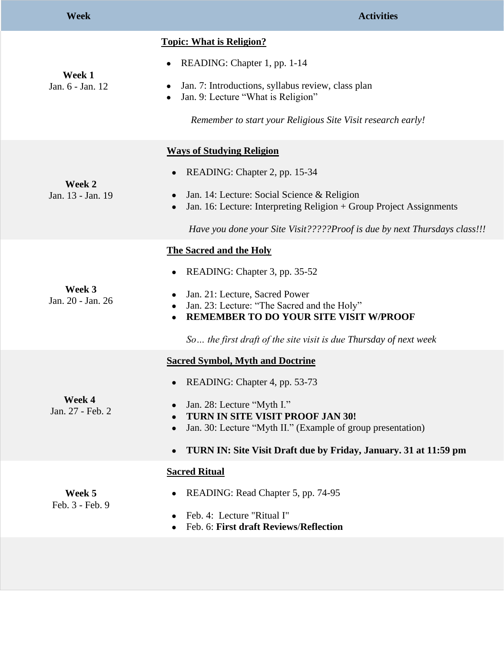| <b>Week</b>                 | <b>Activities</b>                                                                                                                                                                                                                                                                                           |
|-----------------------------|-------------------------------------------------------------------------------------------------------------------------------------------------------------------------------------------------------------------------------------------------------------------------------------------------------------|
| Week 1<br>Jan. 6 - Jan. 12  | <b>Topic: What is Religion?</b><br>READING: Chapter 1, pp. 1-14<br>$\bullet$<br>Jan. 7: Introductions, syllabus review, class plan<br>Jan. 9: Lecture "What is Religion"<br>Remember to start your Religious Site Visit research early!                                                                     |
| Week 2<br>Jan. 13 - Jan. 19 | <b>Ways of Studying Religion</b><br>READING: Chapter 2, pp. 15-34<br>$\bullet$<br>Jan. 14: Lecture: Social Science & Religion<br>$\bullet$<br>Jan. 16: Lecture: Interpreting Religion + Group Project Assignments<br>$\bullet$<br>Have you done your Site Visit?????Proof is due by next Thursdays class!!! |
| Week 3<br>Jan. 20 - Jan. 26 | <b>The Sacred and the Holy</b><br>READING: Chapter 3, pp. 35-52<br>Jan. 21: Lecture, Sacred Power<br>Jan. 23: Lecture: "The Sacred and the Holy"<br><b>REMEMBER TO DO YOUR SITE VISIT W/PROOF</b><br>So the first draft of the site visit is due Thursday of next week                                      |
| Week 4<br>Jan. 27 - Feb. 2  | <b>Sacred Symbol, Myth and Doctrine</b><br>READING: Chapter 4, pp. 53-73<br>Jan. 28: Lecture "Myth I."<br>TURN IN SITE VISIT PROOF JAN 30!<br>Jan. 30: Lecture "Myth II." (Example of group presentation)<br>TURN IN: Site Visit Draft due by Friday, January. 31 at 11:59 pm                               |
| Week 5<br>Feb. 3 - Feb. 9   | <b>Sacred Ritual</b><br>READING: Read Chapter 5, pp. 74-95<br>Feb. 4: Lecture "Ritual I"<br>Feb. 6: First draft Reviews/Reflection                                                                                                                                                                          |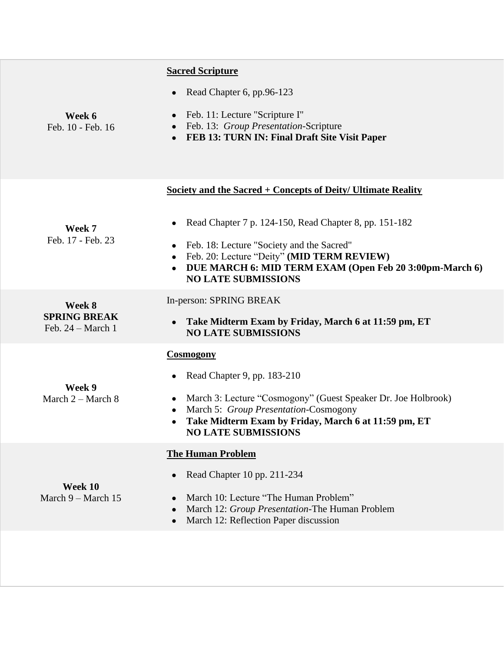|                                          | <b>Sacred Scripture</b>                                                                                                                                                                                   |
|------------------------------------------|-----------------------------------------------------------------------------------------------------------------------------------------------------------------------------------------------------------|
|                                          | Read Chapter 6, pp.96-123                                                                                                                                                                                 |
| Week 6<br>Feb. 10 - Feb. 16              | Feb. 11: Lecture "Scripture I"<br>$\bullet$<br>Feb. 13: Group Presentation-Scripture<br>FEB 13: TURN IN: Final Draft Site Visit Paper                                                                     |
|                                          | Society and the Sacred + Concepts of Deity/ Ultimate Reality                                                                                                                                              |
| Week 7                                   | Read Chapter 7 p. 124-150, Read Chapter 8, pp. 151-182                                                                                                                                                    |
| Feb. 17 - Feb. 23                        | Feb. 18: Lecture "Society and the Sacred"<br>Feb. 20: Lecture "Deity" (MID TERM REVIEW)<br>$\bullet$<br>DUE MARCH 6: MID TERM EXAM (Open Feb 20 3:00pm-March 6)<br><b>NO LATE SUBMISSIONS</b>             |
| Week 8                                   | In-person: SPRING BREAK                                                                                                                                                                                   |
| <b>SPRING BREAK</b><br>Feb. 24 - March 1 | Take Midterm Exam by Friday, March 6 at 11:59 pm, ET<br><b>NO LATE SUBMISSIONS</b>                                                                                                                        |
|                                          | <b>Cosmogony</b>                                                                                                                                                                                          |
|                                          | Read Chapter 9, pp. 183-210                                                                                                                                                                               |
| Week 9<br>March $2 -$ March $8$          | March 3: Lecture "Cosmogony" (Guest Speaker Dr. Joe Holbrook)<br>$\bullet$<br>March 5: Group Presentation-Cosmogony<br>Take Midterm Exam by Friday, March 6 at 11:59 pm, ET<br><b>NO LATE SUBMISSIONS</b> |
|                                          | <b>The Human Problem</b>                                                                                                                                                                                  |
| Week 10<br>March $9 - \text{March } 15$  | Read Chapter 10 pp. 211-234                                                                                                                                                                               |
|                                          | March 10: Lecture "The Human Problem"<br>March 12: Group Presentation-The Human Problem<br>March 12: Reflection Paper discussion                                                                          |
|                                          |                                                                                                                                                                                                           |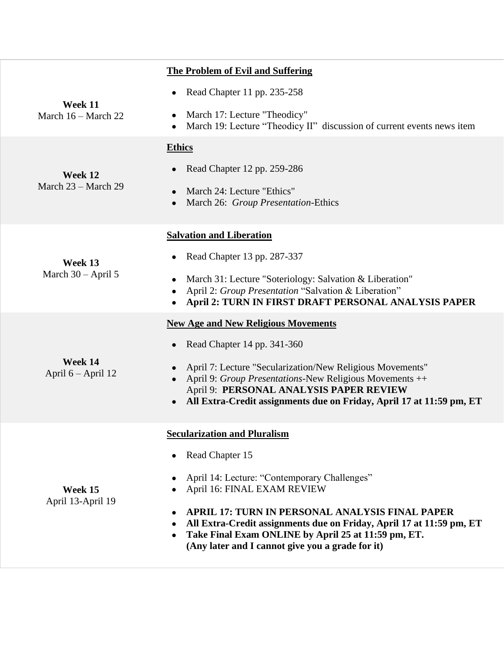|                                  | <b>The Problem of Evil and Suffering</b>                                                                                                                                                                                                |
|----------------------------------|-----------------------------------------------------------------------------------------------------------------------------------------------------------------------------------------------------------------------------------------|
|                                  | Read Chapter 11 pp. 235-258                                                                                                                                                                                                             |
| Week 11<br>March 16 – March 22   | March 17: Lecture "Theodicy"<br>March 19: Lecture "Theodicy II" discussion of current events news item                                                                                                                                  |
|                                  | <b>Ethics</b>                                                                                                                                                                                                                           |
| Week 12<br>March $23 -$ March 29 | Read Chapter 12 pp. 259-286                                                                                                                                                                                                             |
|                                  | March 24: Lecture "Ethics"<br>March 26: Group Presentation-Ethics                                                                                                                                                                       |
|                                  | <b>Salvation and Liberation</b>                                                                                                                                                                                                         |
| Week 13<br>March 30 - April 5    | Read Chapter 13 pp. 287-337                                                                                                                                                                                                             |
|                                  | March 31: Lecture "Soteriology: Salvation & Liberation"<br>$\bullet$<br>April 2: Group Presentation "Salvation & Liberation"<br>April 2: TURN IN FIRST DRAFT PERSONAL ANALYSIS PAPER                                                    |
|                                  | <b>New Age and New Religious Movements</b>                                                                                                                                                                                              |
|                                  | Read Chapter 14 pp. 341-360                                                                                                                                                                                                             |
| Week 14<br>April $6 -$ April 12  | April 7: Lecture "Secularization/New Religious Movements"<br>April 9: Group Presentations-New Religious Movements ++<br>April 9: PERSONAL ANALYSIS PAPER REVIEW<br>All Extra-Credit assignments due on Friday, April 17 at 11:59 pm, ET |
|                                  | <b>Secularization and Pluralism</b>                                                                                                                                                                                                     |
| Week 15<br>April 13-April 19     | Read Chapter 15                                                                                                                                                                                                                         |
|                                  | April 14: Lecture: "Contemporary Challenges"<br>April 16: FINAL EXAM REVIEW                                                                                                                                                             |
|                                  | APRIL 17: TURN IN PERSONAL ANALYSIS FINAL PAPER<br>All Extra-Credit assignments due on Friday, April 17 at 11:59 pm, ET<br>Take Final Exam ONLINE by April 25 at 11:59 pm, ET.<br>(Any later and I cannot give you a grade for it)      |